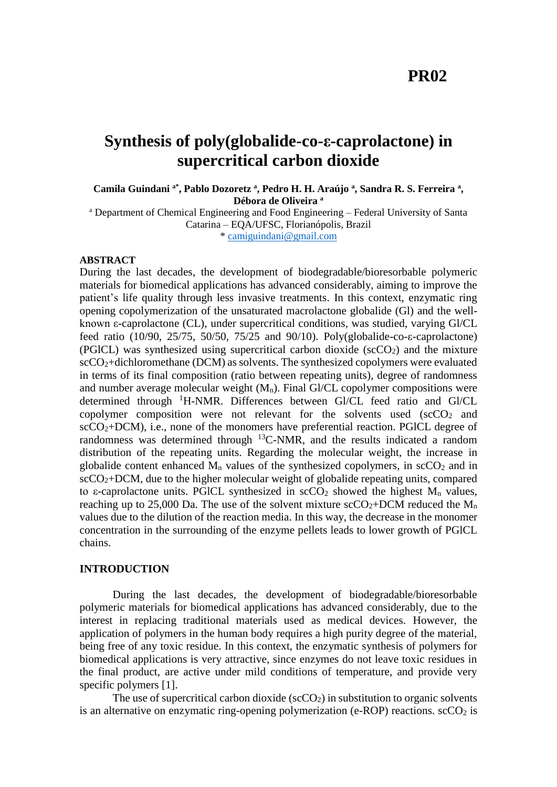## **PR02**

# **Synthesis of poly(globalide-co-ε-caprolactone) in supercritical carbon dioxide**

**Camila Guindani a\*, Pablo Dozoretz <sup>a</sup> , Pedro H. H. Araújo <sup>a</sup> , Sandra R. S. Ferreira <sup>a</sup> , Débora de Oliveira <sup>a</sup>**

<sup>a</sup> Department of Chemical Engineering and Food Engineering - Federal University of Santa Catarina – EQA/UFSC, Florianópolis, Brazil \* [camiguindani@gmail.com](mailto:camiguindani@gmail.com)

**ABSTRACT**

During the last decades, the development of biodegradable/bioresorbable polymeric materials for biomedical applications has advanced considerably, aiming to improve the patient's life quality through less invasive treatments. In this context, enzymatic ring opening copolymerization of the unsaturated macrolactone globalide (Gl) and the wellknown ε-caprolactone (CL), under supercritical conditions, was studied, varying Gl/CL feed ratio (10/90, 25/75, 50/50, 75/25 and 90/10). Poly(globalide-co-ε-caprolactone) (PGICL) was synthesized using supercritical carbon dioxide ( $\sec O_2$ ) and the mixture scCO2+dichloromethane (DCM) as solvents. The synthesized copolymers were evaluated in terms of its final composition (ratio between repeating units), degree of randomness and number average molecular weight  $(M_n)$ . Final Gl/CL copolymer compositions were determined through <sup>1</sup>H-NMR. Differences between Gl/CL feed ratio and Gl/CL copolymer composition were not relevant for the solvents used  $(\text{scCO}_2)$  and  $sCCO<sub>2</sub>+DCM$ ), i.e., none of the monomers have preferential reaction. PGICL degree of randomness was determined through  $^{13}$ C-NMR, and the results indicated a random distribution of the repeating units. Regarding the molecular weight, the increase in globalide content enhanced  $M_n$  values of the synthesized copolymers, in  $\sec O_2$  and in  $\text{scCO}_2+\text{DCM}$ , due to the higher molecular weight of globalide repeating units, compared to  $\varepsilon$ -caprolactone units. PGICL synthesized in  $\sec O_2$  showed the highest  $M_n$  values, reaching up to 25,000 Da. The use of the solvent mixture  $\sec O_2 + DCM$  reduced the  $M_n$ values due to the dilution of the reaction media. In this way, the decrease in the monomer concentration in the surrounding of the enzyme pellets leads to lower growth of PGlCL chains.

#### **INTRODUCTION**

During the last decades, the development of biodegradable/bioresorbable polymeric materials for biomedical applications has advanced considerably, due to the interest in replacing traditional materials used as medical devices. However, the application of polymers in the human body requires a high purity degree of the material, being free of any toxic residue. In this context, the enzymatic synthesis of polymers for biomedical applications is very attractive, since enzymes do not leave toxic residues in the final product, are active under mild conditions of temperature, and provide very specific polymers [1].

The use of supercritical carbon dioxide ( $\sec O_2$ ) in substitution to organic solvents is an alternative on enzymatic ring-opening polymerization (e-ROP) reactions.  $\sec 0<sub>2</sub>$  is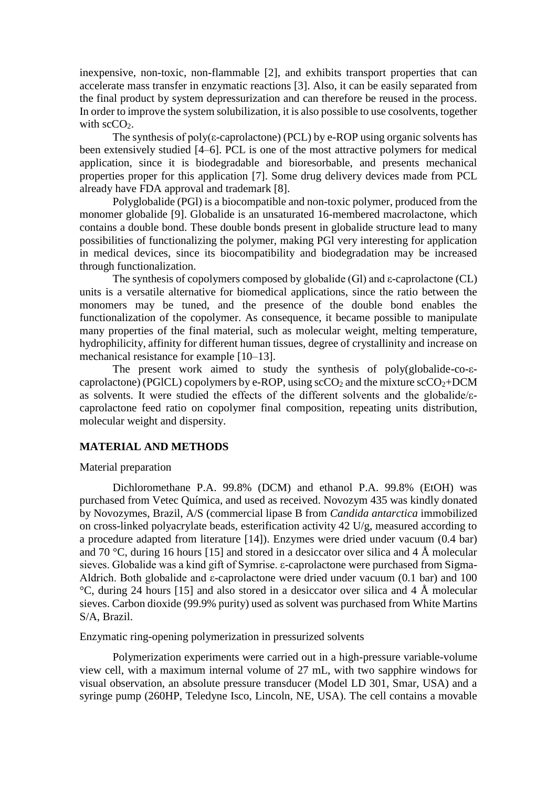inexpensive, non-toxic, non-flammable [2], and exhibits transport properties that can accelerate mass transfer in enzymatic reactions [3]. Also, it can be easily separated from the final product by system depressurization and can therefore be reused in the process. In order to improve the system solubilization, it is also possible to use cosolvents, together with  $\text{scCO}_2$ .

The synthesis of poly( $\varepsilon$ -caprolactone) (PCL) by e-ROP using organic solvents has been extensively studied [4–6]. PCL is one of the most attractive polymers for medical application, since it is biodegradable and bioresorbable, and presents mechanical properties proper for this application [7]. Some drug delivery devices made from PCL already have FDA approval and trademark [8].

Polyglobalide (PGl) is a biocompatible and non-toxic polymer, produced from the monomer globalide [9]. Globalide is an unsaturated 16-membered macrolactone, which contains a double bond. These double bonds present in globalide structure lead to many possibilities of functionalizing the polymer, making PGl very interesting for application in medical devices, since its biocompatibility and biodegradation may be increased through functionalization.

The synthesis of copolymers composed by globalide (Gl) and ε-caprolactone (CL) units is a versatile alternative for biomedical applications, since the ratio between the monomers may be tuned, and the presence of the double bond enables the functionalization of the copolymer. As consequence, it became possible to manipulate many properties of the final material, such as molecular weight, melting temperature, hydrophilicity, affinity for different human tissues, degree of crystallinity and increase on mechanical resistance for example [10–13].

The present work aimed to study the synthesis of poly(globalide-co-εcaprolactone) (PGlCL) copolymers by e-ROP, using  $\sec O_2$  and the mixture  $\sec O_2 + DCM$ as solvents. It were studied the effects of the different solvents and the globalide/εcaprolactone feed ratio on copolymer final composition, repeating units distribution, molecular weight and dispersity.

#### **MATERIAL AND METHODS**

#### Material preparation

Dichloromethane P.A. 99.8% (DCM) and ethanol P.A. 99.8% (EtOH) was purchased from Vetec Química, and used as received. Novozym 435 was kindly donated by Novozymes, Brazil, A/S (commercial lipase B from *Candida antarctica* immobilized on cross-linked polyacrylate beads, esterification activity 42 U/g, measured according to a procedure adapted from literature [14]). Enzymes were dried under vacuum (0.4 bar) and 70 °C, during 16 hours [15] and stored in a desiccator over silica and 4 Å molecular sieves. Globalide was a kind gift of Symrise. ε-caprolactone were purchased from Sigma-Aldrich. Both globalide and  $\epsilon$ -caprolactone were dried under vacuum (0.1 bar) and 100 °C, during 24 hours [15] and also stored in a desiccator over silica and 4 Å molecular sieves. Carbon dioxide (99.9% purity) used as solvent was purchased from White Martins S/A, Brazil.

Enzymatic ring-opening polymerization in pressurized solvents

Polymerization experiments were carried out in a high-pressure variable-volume view cell, with a maximum internal volume of 27 mL, with two sapphire windows for visual observation, an absolute pressure transducer (Model LD 301, Smar, USA) and a syringe pump (260HP, Teledyne Isco, Lincoln, NE, USA). The cell contains a movable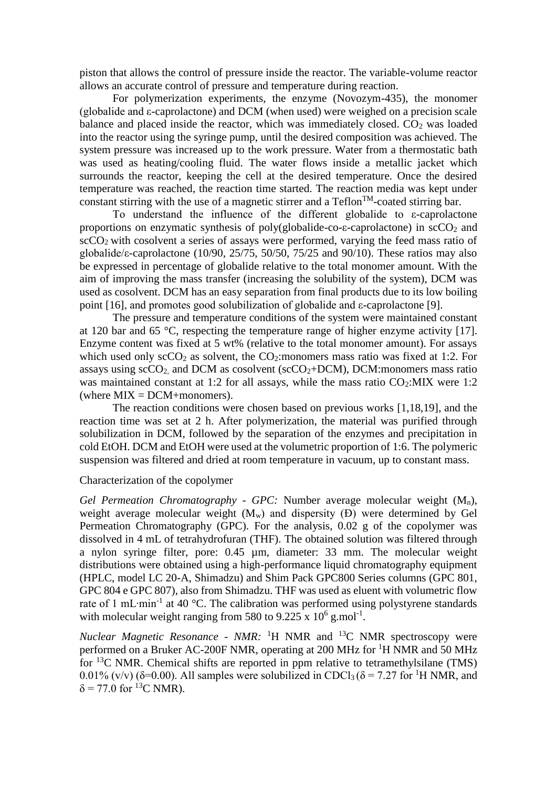piston that allows the control of pressure inside the reactor. The variable-volume reactor allows an accurate control of pressure and temperature during reaction.

For polymerization experiments, the enzyme (Novozym-435), the monomer (globalide and ε-caprolactone) and DCM (when used) were weighed on a precision scale balance and placed inside the reactor, which was immediately closed.  $CO<sub>2</sub>$  was loaded into the reactor using the syringe pump, until the desired composition was achieved. The system pressure was increased up to the work pressure. Water from a thermostatic bath was used as heating/cooling fluid. The water flows inside a metallic jacket which surrounds the reactor, keeping the cell at the desired temperature. Once the desired temperature was reached, the reaction time started. The reaction media was kept under constant stirring with the use of a magnetic stirrer and a  $\text{Teflon}^{\text{TM}}$ -coated stirring bar.

To understand the influence of the different globalide to ε-caprolactone proportions on enzymatic synthesis of poly(globalide-co- $\varepsilon$ -caprolactone) in  $\sec O_2$  and  $\rm{scCO}_{2}$  with cosolvent a series of assays were performed, varying the feed mass ratio of globalide/ε-caprolactone (10/90, 25/75, 50/50, 75/25 and 90/10). These ratios may also be expressed in percentage of globalide relative to the total monomer amount. With the aim of improving the mass transfer (increasing the solubility of the system), DCM was used as cosolvent. DCM has an easy separation from final products due to its low boiling point [16], and promotes good solubilization of globalide and ε-caprolactone [9].

The pressure and temperature conditions of the system were maintained constant at 120 bar and 65 °C, respecting the temperature range of higher enzyme activity [17]. Enzyme content was fixed at 5 wt% (relative to the total monomer amount). For assays which used only  $\sec O_2$  as solvent, the  $CO_2$ :monomers mass ratio was fixed at 1:2. For assays using  $\text{scCO}_2$ , and DCM as cosolvent ( $\text{scCO}_2+\text{DCM}$ ), DCM:monomers mass ratio was maintained constant at 1:2 for all assays, while the mass ratio  $CO<sub>2</sub>:$ MIX were 1:2 (where  $MIX = DCM + monomers$ ).

The reaction conditions were chosen based on previous works [1,18,19], and the reaction time was set at 2 h. After polymerization, the material was purified through solubilization in DCM, followed by the separation of the enzymes and precipitation in cold EtOH. DCM and EtOH were used at the volumetric proportion of 1:6. The polymeric suspension was filtered and dried at room temperature in vacuum, up to constant mass.

#### Characterization of the copolymer

*Gel Permeation Chromatography - GPC:* Number average molecular weight (Mn), weight average molecular weight  $(M_w)$  and dispersity  $(D)$  were determined by Gel Permeation Chromatography (GPC). For the analysis, 0.02 g of the copolymer was dissolved in 4 mL of tetrahydrofuran (THF). The obtained solution was filtered through a nylon syringe filter, pore: 0.45 µm, diameter: 33 mm. The molecular weight distributions were obtained using a high-performance liquid chromatography equipment (HPLC, model LC 20-A, Shimadzu) and Shim Pack GPC800 Series columns (GPC 801, GPC 804 e GPC 807), also from Shimadzu. THF was used as eluent with volumetric flow rate of 1 mL⋅min<sup>-1</sup> at 40 °C. The calibration was performed using polystyrene standards with molecular weight ranging from 580 to 9.225 x  $10^6$  g.mol<sup>-1</sup>.

*Nuclear Magnetic Resonance - NMR:* <sup>1</sup>H NMR and <sup>13</sup>C NMR spectroscopy were performed on a Bruker AC-200F NMR, operating at 200 MHz for <sup>1</sup>H NMR and 50 MHz for <sup>13</sup>C NMR. Chemical shifts are reported in ppm relative to tetramethylsilane (TMS) 0.01% (v/v) ( $\delta$ =0.00). All samples were solubilized in CDCl<sub>3</sub> ( $\delta$  = 7.27 for <sup>1</sup>H NMR, and  $\delta$  = 77.0 for <sup>13</sup>C NMR).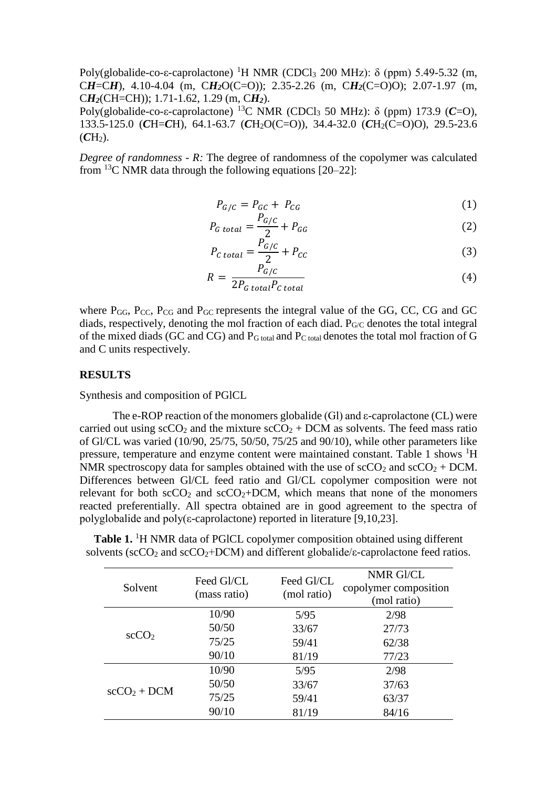Poly(globalide-co-ε-caprolactone) <sup>1</sup>H NMR (CDCl<sub>3</sub> 200 MHz): δ (ppm) 5.49-5.32 (m, C*H*=C*H*), 4.10-4.04 (m, C*H2*O(C=O)); 2.35-2.26 (m, C*H2*(C=O)O); 2.07-1.97 (m, C*H2*(CH=CH)); 1.71-1.62, 1.29 (m, C*H2*).

Poly(globalide-co-ε-caprolactone) <sup>13</sup>C NMR (CDCl<sub>3</sub> 50 MHz): δ (ppm) 173.9 (*C*=O), 133.5-125.0 (*C*H=*C*H), 64.1-63.7 (*C*H2O(C=O)), 34.4-32.0 (*C*H2(C=O)O), 29.5-23.6  $(CH<sub>2</sub>)$ .

*Degree of randomness - R:* The degree of randomness of the copolymer was calculated from  $^{13}$ C NMR data through the following equations [20–22]:

$$
P_{G/C} = P_{GC} + P_{CG}
$$
\n<sup>(1)</sup>

$$
P_{G\ total} = \frac{P_{G/C}}{2} + P_{GG} \tag{2}
$$

$$
P_{C\ total} = \frac{P_{G/C}}{2} + P_{CC}
$$
\n(3)

$$
R = \frac{P_{G/C}}{2P_{G total}P_{C total}}\tag{4}
$$

where  $P_{GG}$ ,  $P_{CC}$ ,  $P_{CG}$  and  $P_{GC}$  represents the integral value of the GG, CC, CG and GC diads, respectively, denoting the mol fraction of each diad.  $P_{\rm GC}$  denotes the total integral of the mixed diads (GC and CG) and PG total and PC total denotes the total mol fraction of G and C units respectively.

#### **RESULTS**

Synthesis and composition of PGlCL

The e-ROP reaction of the monomers globalide (Gl) and ε-caprolactone (CL) were carried out using  $\sec O_2$  and the mixture  $\sec O_2$  + DCM as solvents. The feed mass ratio of Gl/CL was varied (10/90, 25/75, 50/50, 75/25 and 90/10), while other parameters like pressure, temperature and enzyme content were maintained constant. Table 1 shows <sup>1</sup>H NMR spectroscopy data for samples obtained with the use of  $\text{scCO}_2$  and  $\text{scCO}_2$  + DCM. Differences between Gl/CL feed ratio and Gl/CL copolymer composition were not relevant for both  $\sec O_2$  and  $\sec O_2$ +DCM, which means that none of the monomers reacted preferentially. All spectra obtained are in good agreement to the spectra of polyglobalide and poly(ε-caprolactone) reported in literature [9,10,23].

**Table 1.** <sup>1</sup>H NMR data of PGICL copolymer composition obtained using different solvents (scCO<sub>2</sub> and scCO<sub>2</sub>+DCM) and different globalide/ $\varepsilon$ -caprolactone feed ratios.

| Solvent           | Feed Gl/CL<br>(mass ratio) | Feed Gl/CL<br>(mol ratio) | NMR Gl/CL<br>copolymer composition<br>(mol ratio) |
|-------------------|----------------------------|---------------------------|---------------------------------------------------|
| scCO <sub>2</sub> | 10/90                      | 5/95                      | 2/98                                              |
|                   | 50/50                      | 33/67                     | 27/73                                             |
|                   | 75/25                      | 59/41                     | 62/38                                             |
|                   | 90/10                      | 81/19                     | 77/23                                             |
| $\sec CO_2 + DCM$ | 10/90                      | 5/95                      | 2/98                                              |
|                   | 50/50                      | 33/67                     | 37/63                                             |
|                   | 75/25                      | 59/41                     | 63/37                                             |
|                   | 90/10                      | 81/19                     | 84/16                                             |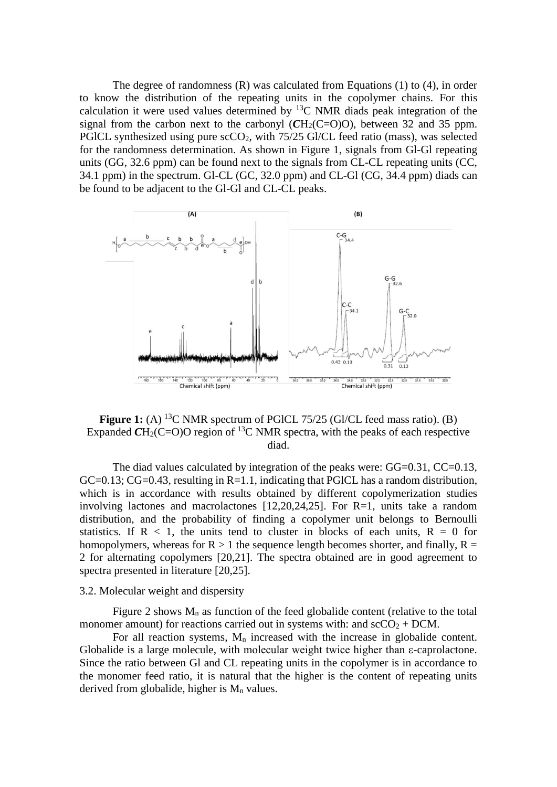The degree of randomness (R) was calculated from Equations (1) to (4), in order to know the distribution of the repeating units in the copolymer chains. For this calculation it were used values determined by  ${}^{13}$ C NMR diads peak integration of the signal from the carbon next to the carbonyl  $(CH<sub>2</sub>(C=O)O)$ , between 32 and 35 ppm. PGICL synthesized using pure scCO<sub>2</sub>, with 75/25 Gl/CL feed ratio (mass), was selected for the randomness determination. As shown in Figure 1, signals from Gl-Gl repeating units (GG, 32.6 ppm) can be found next to the signals from CL-CL repeating units (CC, 34.1 ppm) in the spectrum. Gl-CL (GC, 32.0 ppm) and CL-Gl (CG, 34.4 ppm) diads can be found to be adjacent to the Gl-Gl and CL-CL peaks.



**Figure 1:** (A) <sup>13</sup>C NMR spectrum of PGICL 75/25 (GI/CL feed mass ratio). (B) Expanded  $CH_2(C=O)O$  region of <sup>13</sup>C NMR spectra, with the peaks of each respective diad.

The diad values calculated by integration of the peaks were:  $GG=0.31$ ,  $CC=0.13$ ,  $GC=0.13$ ;  $CG=0.43$ , resulting in  $R=1.1$ , indicating that PGICL has a random distribution, which is in accordance with results obtained by different copolymerization studies involving lactones and macrolactones [12,20,24,25]. For R=1, units take a random distribution, and the probability of finding a copolymer unit belongs to Bernoulli statistics. If  $R < 1$ , the units tend to cluster in blocks of each units,  $R = 0$  for homopolymers, whereas for  $R > 1$  the sequence length becomes shorter, and finally,  $R =$ 2 for alternating copolymers [20,21]. The spectra obtained are in good agreement to spectra presented in literature [20,25].

#### 3.2. Molecular weight and dispersity

Figure 2 shows  $M_n$  as function of the feed globalide content (relative to the total monomer amount) for reactions carried out in systems with: and  $\sec O_2 + DCM$ .

For all reaction systems,  $M_n$  increased with the increase in globalide content. Globalide is a large molecule, with molecular weight twice higher than ε-caprolactone. Since the ratio between Gl and CL repeating units in the copolymer is in accordance to the monomer feed ratio, it is natural that the higher is the content of repeating units derived from globalide, higher is  $M_n$  values.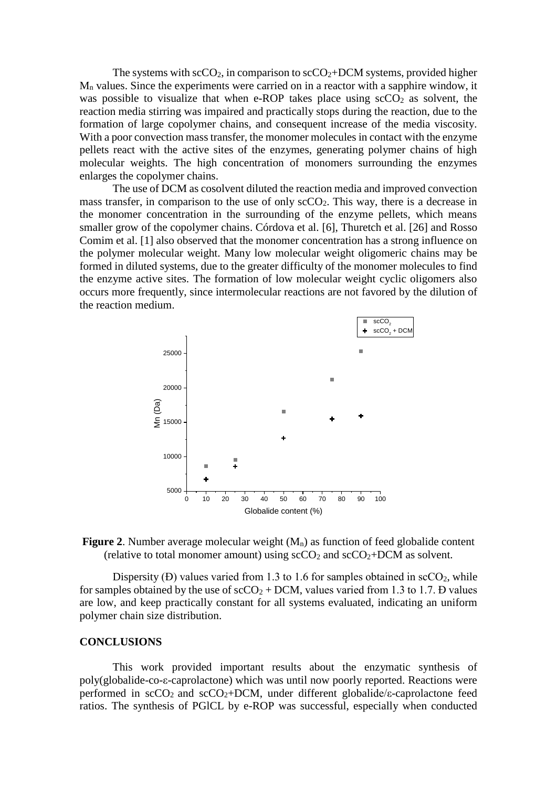The systems with  $\text{scCO}_2$ , in comparison to  $\text{scCO}_2+\text{DCM}$  systems, provided higher M<sup>n</sup> values. Since the experiments were carried on in a reactor with a sapphire window, it was possible to visualize that when e-ROP takes place using  $\sec 0<sub>2</sub>$  as solvent, the reaction media stirring was impaired and practically stops during the reaction, due to the formation of large copolymer chains, and consequent increase of the media viscosity. With a poor convection mass transfer, the monomer molecules in contact with the enzyme pellets react with the active sites of the enzymes, generating polymer chains of high molecular weights. The high concentration of monomers surrounding the enzymes enlarges the copolymer chains.

The use of DCM as cosolvent diluted the reaction media and improved convection mass transfer, in comparison to the use of only  $\text{scCO}_2$ . This way, there is a decrease in the monomer concentration in the surrounding of the enzyme pellets, which means smaller grow of the copolymer chains. Córdova et al. [6], Thuretch et al. [26] and Rosso Comim et al. [1] also observed that the monomer concentration has a strong influence on the polymer molecular weight. Many low molecular weight oligomeric chains may be formed in diluted systems, due to the greater difficulty of the monomer molecules to find the enzyme active sites. The formation of low molecular weight cyclic oligomers also occurs more frequently, since intermolecular reactions are not favored by the dilution of the reaction medium.





Dispersity (Đ) values varied from 1.3 to 1.6 for samples obtained in  $\sec O_2$ , while for samples obtained by the use of  $\sec O_2 + DCM$ , values varied from 1.3 to 1.7. D values are low, and keep practically constant for all systems evaluated, indicating an uniform polymer chain size distribution.

#### **CONCLUSIONS**

This work provided important results about the enzymatic synthesis of poly(globalide-co-ε-caprolactone) which was until now poorly reported. Reactions were performed in  $\sec O_2$  and  $\sec O_2 + DCM$ , under different globalide/ε-caprolactone feed ratios. The synthesis of PGlCL by e-ROP was successful, especially when conducted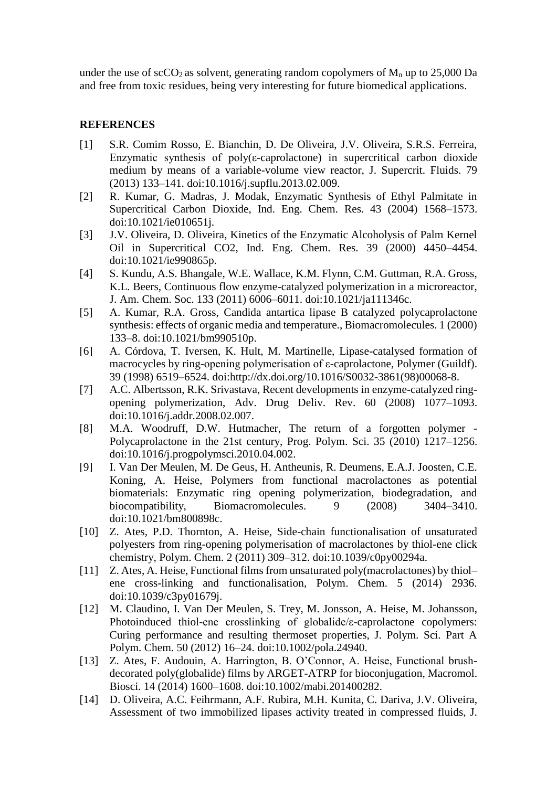under the use of  $\rm{scCO_2}$  as solvent, generating random copolymers of  $\rm{M}_n$  up to 25,000 Da and free from toxic residues, being very interesting for future biomedical applications.

### **REFERENCES**

- [1] S.R. Comim Rosso, E. Bianchin, D. De Oliveira, J.V. Oliveira, S.R.S. Ferreira, Enzymatic synthesis of  $poly(\epsilon$ -caprolactone) in supercritical carbon dioxide medium by means of a variable-volume view reactor, J. Supercrit. Fluids. 79 (2013) 133–141. doi:10.1016/j.supflu.2013.02.009.
- [2] R. Kumar, G. Madras, J. Modak, Enzymatic Synthesis of Ethyl Palmitate in Supercritical Carbon Dioxide, Ind. Eng. Chem. Res. 43 (2004) 1568–1573. doi:10.1021/ie010651j.
- [3] J.V. Oliveira, D. Oliveira, Kinetics of the Enzymatic Alcoholysis of Palm Kernel Oil in Supercritical CO2, Ind. Eng. Chem. Res. 39 (2000) 4450–4454. doi:10.1021/ie990865p.
- [4] S. Kundu, A.S. Bhangale, W.E. Wallace, K.M. Flynn, C.M. Guttman, R.A. Gross, K.L. Beers, Continuous flow enzyme-catalyzed polymerization in a microreactor, J. Am. Chem. Soc. 133 (2011) 6006–6011. doi:10.1021/ja111346c.
- [5] A. Kumar, R.A. Gross, Candida antartica lipase B catalyzed polycaprolactone synthesis: effects of organic media and temperature., Biomacromolecules. 1 (2000) 133–8. doi:10.1021/bm990510p.
- [6] A. Córdova, T. Iversen, K. Hult, M. Martinelle, Lipase-catalysed formation of macrocycles by ring-opening polymerisation of ε-caprolactone, Polymer (Guildf). 39 (1998) 6519–6524. doi:http://dx.doi.org/10.1016/S0032-3861(98)00068-8.
- [7] A.C. Albertsson, R.K. Srivastava, Recent developments in enzyme-catalyzed ringopening polymerization, Adv. Drug Deliv. Rev. 60 (2008) 1077–1093. doi:10.1016/j.addr.2008.02.007.
- [8] M.A. Woodruff, D.W. Hutmacher, The return of a forgotten polymer Polycaprolactone in the 21st century, Prog. Polym. Sci. 35 (2010) 1217–1256. doi:10.1016/j.progpolymsci.2010.04.002.
- [9] I. Van Der Meulen, M. De Geus, H. Antheunis, R. Deumens, E.A.J. Joosten, C.E. Koning, A. Heise, Polymers from functional macrolactones as potential biomaterials: Enzymatic ring opening polymerization, biodegradation, and biocompatibility, Biomacromolecules. 9 (2008) 3404–3410. doi:10.1021/bm800898c.
- [10] Z. Ates, P.D. Thornton, A. Heise, Side-chain functionalisation of unsaturated polyesters from ring-opening polymerisation of macrolactones by thiol-ene click chemistry, Polym. Chem. 2 (2011) 309–312. doi:10.1039/c0py00294a.
- [11] Z. Ates, A. Heise, Functional films from unsaturated poly(macrolactones) by thiolene cross-linking and functionalisation, Polym. Chem. 5 (2014) 2936. doi:10.1039/c3py01679j.
- [12] M. Claudino, I. Van Der Meulen, S. Trey, M. Jonsson, A. Heise, M. Johansson, Photoinduced thiol-ene crosslinking of globalide/ε-caprolactone copolymers: Curing performance and resulting thermoset properties, J. Polym. Sci. Part A Polym. Chem. 50 (2012) 16–24. doi:10.1002/pola.24940.
- [13] Z. Ates, F. Audouin, A. Harrington, B. O'Connor, A. Heise, Functional brushdecorated poly(globalide) films by ARGET-ATRP for bioconjugation, Macromol. Biosci. 14 (2014) 1600–1608. doi:10.1002/mabi.201400282.
- [14] D. Oliveira, A.C. Feihrmann, A.F. Rubira, M.H. Kunita, C. Dariva, J.V. Oliveira, Assessment of two immobilized lipases activity treated in compressed fluids, J.